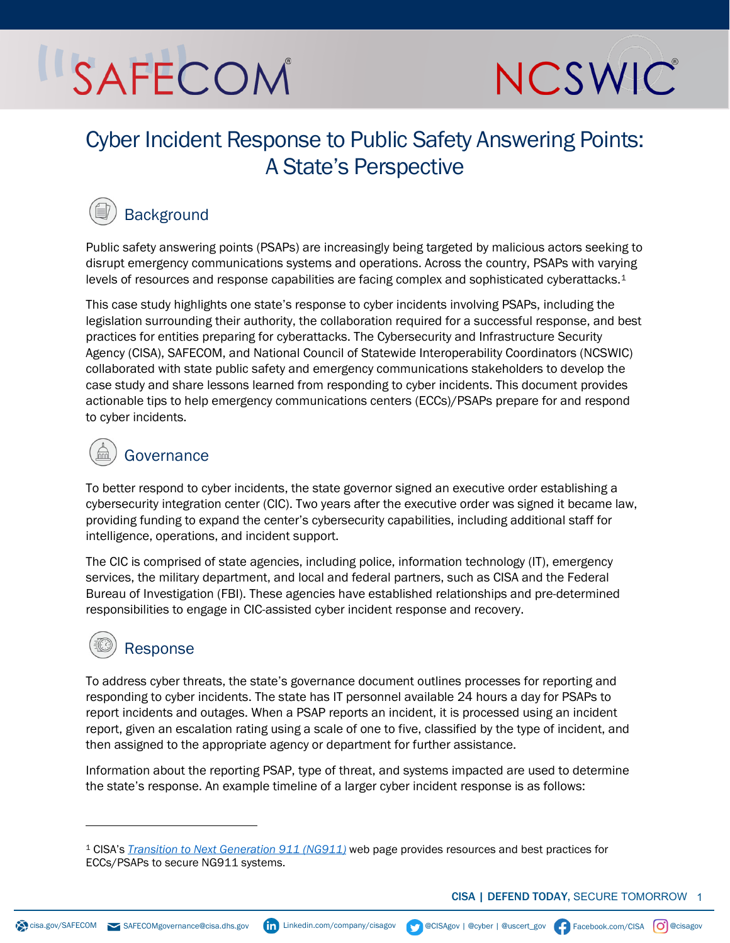# SAFECOM



## Cyber Incident Response to Public Safety Answering Points: A State's Perspective

## **Background**

Public safety answering points (PSAPs) are increasingly being targeted by malicious actors seeking to disrupt emergency communications systems and operations. Across the country, PSAPs with varying levels of resources and response capabilities are facing complex and sophisticated cyberattacks.<sup>[1](#page-0-0)</sup>

This case study highlights one state's response to cyber incidents involving PSAPs, including the legislation surrounding their authority, the collaboration required for a successful response, and best practices for entities preparing for cyberattacks. The Cybersecurity and Infrastructure Security Agency (CISA), SAFECOM, and National Council of Statewide Interoperability Coordinators (NCSWIC) collaborated with state public safety and emergency communications stakeholders to develop the case study and share lessons learned from responding to cyber incidents. This document provides actionable tips to help emergency communications centers (ECCs)/PSAPs prepare for and respond to cyber incidents.

## **Governance**

To better respond to cyber incidents, the state governor signed an executive order establishing a cybersecurity integration center (CIC). Two years after the executive order was signed it became law, providing funding to expand the center's cybersecurity capabilities, including additional staff for intelligence, operations, and incident support.

The CIC is comprised of state agencies, including police, information technology (IT), emergency services, the military department, and local and federal partners, such as CISA and the Federal Bureau of Investigation (FBI). These agencies have established relationships and pre-determined responsibilities to engage in CIC-assisted cyber incident response and recovery.

## Response

To address cyber threats, the state's governance document outlines processes for reporting and responding to cyber incidents. The state has IT personnel available 24 hours a day for PSAPs to report incidents and outages. When a PSAP reports an incident, it is processed using an incident report, given an escalation rating using a scale of one to five, classified by the type of incident, and then assigned to the appropriate agency or department for further assistance.

Information about the reporting PSAP, type of threat, and systems impacted are used to determine the state's response. An example timeline of a larger cyber incident response is as follows:

<span id="page-0-0"></span><sup>1</sup> CISA's *[Transition to Next Generation 911 \(NG911\)](https://www.cisa.gov/safecom/next-generation-911)* web page provides resources and best practices for ECCs/PSAPs to secure NG911 systems.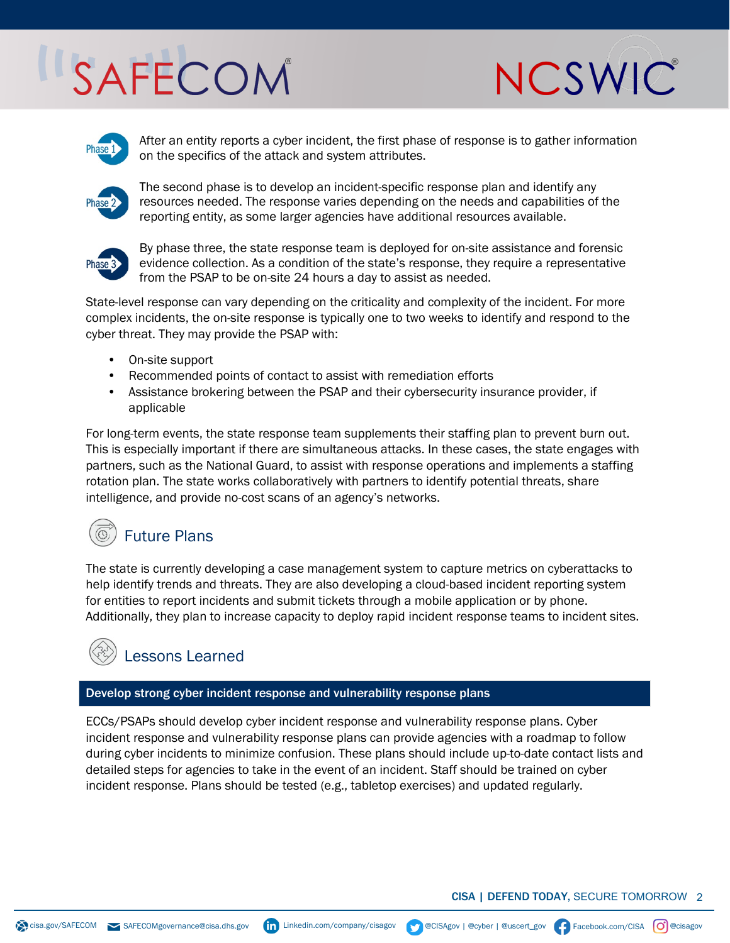# SAFECOM





After an entity reports a cyber incident, the first phase of response is to gather information on the specifics of the attack and system attributes.



The second phase is to develop an incident-specific response plan and identify any resources needed. The response varies depending on the needs and capabilities of the reporting entity, as some larger agencies have additional resources available.



By phase three, the state response team is deployed for on-site assistance and forensic evidence collection. As a condition of the state's response, they require a representative from the PSAP to be on-site 24 hours a day to assist as needed.

State-level response can vary depending on the criticality and complexity of the incident. For more complex incidents, the on-site response is typically one to two weeks to identify and respond to the cyber threat. They may provide the PSAP with:

- On-site support
- Recommended points of contact to assist with remediation efforts
- Assistance brokering between the PSAP and their cybersecurity insurance provider, if applicable

For long-term events, the state response team supplements their staffing plan to prevent burn out. This is especially important if there are simultaneous attacks. In these cases, the state engages with partners, such as the National Guard, to assist with response operations and implements a staffing rotation plan. The state works collaboratively with partners to identify potential threats, share intelligence, and provide no-cost scans of an agency's networks.

# Future Plans

The state is currently developing a case management system to capture metrics on cyberattacks to help identify trends and threats. They are also developing a cloud-based incident reporting system for entities to report incidents and submit tickets through a mobile application or by phone. Additionally, they plan to increase capacity to deploy rapid incident response teams to incident sites.

## Lessons Learned

### Develop strong cyber incident response and vulnerability response plans

ECCs/PSAPs should develop cyber incident response and vulnerability response plans. Cyber incident response and vulnerability response plans can provide agencies with a roadmap to follow during cyber incidents to minimize confusion. These plans should include up-to-date contact lists and detailed steps for agencies to take in the event of an incident. Staff should be trained on cyber incident response. Plans should be tested (e.g., tabletop exercises) and updated regularly.